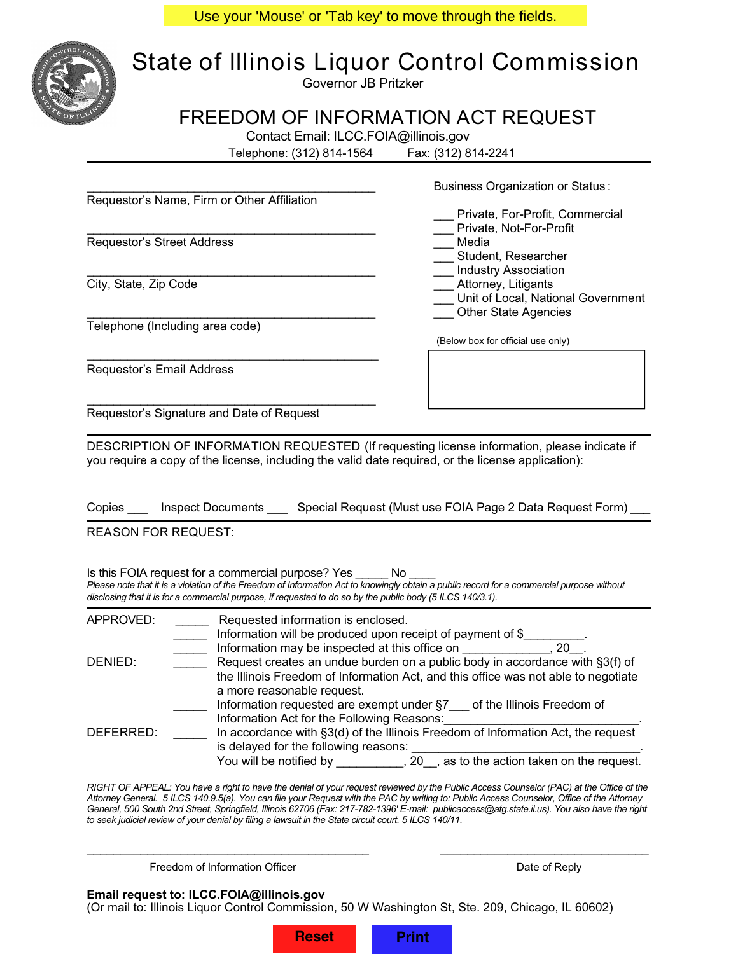Use your 'Mouse' or 'Tab key' to move through the fields.



## **State of Illinois Liquor Control Commission**

Governor JB Pritzker

## **FREEDOM OF INFORMATION ACT REQUEST**

Contact Email: ILCC.FOIA@illinois.gov

Telephone: (312) 814-1564 Fax: (312) 814-2241

|                                                                                                                             | Business Organization or Status:                                                                                                           |  |  |  |  |
|-----------------------------------------------------------------------------------------------------------------------------|--------------------------------------------------------------------------------------------------------------------------------------------|--|--|--|--|
| Requestor's Name, Firm or Other Affiliation                                                                                 |                                                                                                                                            |  |  |  |  |
|                                                                                                                             | Private, For-Profit, Commercial                                                                                                            |  |  |  |  |
|                                                                                                                             | Private, Not-For-Profit                                                                                                                    |  |  |  |  |
| Requestor's Street Address                                                                                                  | Media                                                                                                                                      |  |  |  |  |
|                                                                                                                             | Student, Researcher                                                                                                                        |  |  |  |  |
|                                                                                                                             | <b>Industry Association</b>                                                                                                                |  |  |  |  |
| City, State, Zip Code                                                                                                       | Attorney, Litigants                                                                                                                        |  |  |  |  |
|                                                                                                                             | Unit of Local, National Government                                                                                                         |  |  |  |  |
|                                                                                                                             | <b>Other State Agencies</b>                                                                                                                |  |  |  |  |
| Telephone (Including area code)                                                                                             |                                                                                                                                            |  |  |  |  |
|                                                                                                                             | (Below box for official use only)                                                                                                          |  |  |  |  |
|                                                                                                                             |                                                                                                                                            |  |  |  |  |
| Requestor's Email Address                                                                                                   |                                                                                                                                            |  |  |  |  |
|                                                                                                                             |                                                                                                                                            |  |  |  |  |
|                                                                                                                             |                                                                                                                                            |  |  |  |  |
|                                                                                                                             |                                                                                                                                            |  |  |  |  |
| Requestor's Signature and Date of Request                                                                                   |                                                                                                                                            |  |  |  |  |
|                                                                                                                             |                                                                                                                                            |  |  |  |  |
|                                                                                                                             | DESCRIPTION OF INFORMATION REQUESTED (If requesting license information, please indicate if                                                |  |  |  |  |
|                                                                                                                             | you require a copy of the license, including the valid date required, or the license application):                                         |  |  |  |  |
|                                                                                                                             |                                                                                                                                            |  |  |  |  |
|                                                                                                                             |                                                                                                                                            |  |  |  |  |
|                                                                                                                             |                                                                                                                                            |  |  |  |  |
|                                                                                                                             | Copies ____ Inspect Documents ___ Special Request (Must use FOIA Page 2 Data Request Form)                                                 |  |  |  |  |
|                                                                                                                             |                                                                                                                                            |  |  |  |  |
| <b>REASON FOR REQUEST:</b>                                                                                                  |                                                                                                                                            |  |  |  |  |
|                                                                                                                             |                                                                                                                                            |  |  |  |  |
|                                                                                                                             |                                                                                                                                            |  |  |  |  |
| Is this FOIA request for a commercial purpose? Yes No                                                                       |                                                                                                                                            |  |  |  |  |
|                                                                                                                             | Please note that it is a violation of the Freedom of Information Act to knowingly obtain a public record for a commercial purpose without  |  |  |  |  |
|                                                                                                                             | disclosing that it is for a commercial purpose, if requested to do so by the public body (5 ILCS 140/3.1).                                 |  |  |  |  |
| APPROVED:                                                                                                                   | Requested information is enclosed.                                                                                                         |  |  |  |  |
| $\overline{\phantom{a}}$                                                                                                    |                                                                                                                                            |  |  |  |  |
|                                                                                                                             |                                                                                                                                            |  |  |  |  |
| $\overline{\phantom{a}}$<br>Request creates an undue burden on a public body in accordance with §3(f) of<br>DENIED:         |                                                                                                                                            |  |  |  |  |
|                                                                                                                             |                                                                                                                                            |  |  |  |  |
| the Illinois Freedom of Information Act, and this office was not able to negotiate<br>a more reasonable request.            |                                                                                                                                            |  |  |  |  |
|                                                                                                                             |                                                                                                                                            |  |  |  |  |
|                                                                                                                             | Information requested are exempt under §7 of the Illinois Freedom of                                                                       |  |  |  |  |
| Information Act for the Following Reasons: [1995] [1996] Analysis Act of the Following Reasons: [1996] [1996] $\frac{1}{2}$ |                                                                                                                                            |  |  |  |  |
| In accordance with §3(d) of the Illinois Freedom of Information Act, the request<br>DEFERRED:                               |                                                                                                                                            |  |  |  |  |
| is delayed for the following reasons:                                                                                       |                                                                                                                                            |  |  |  |  |
|                                                                                                                             |                                                                                                                                            |  |  |  |  |
|                                                                                                                             |                                                                                                                                            |  |  |  |  |
|                                                                                                                             | RIGHT OF APPEAL: You have a right to have the denial of your request reviewed by the Public Access Counselor (PAC) at the Office of the    |  |  |  |  |
|                                                                                                                             | Attorney General. 5 ILCS 140.9.5(a). You can file your Request with the PAC by writing to: Public Access Counselor, Office of the Attorney |  |  |  |  |

*General, 500 South 2nd Street, Springfield, Illinois 62706 (Fax: 217-782-1396' E-mail: publicaccess@atg.state.il.us). You also have the right to seek judicial review of your denial by filing a lawsuit in the State circuit court. 5 ILCS 140/11.*

\_\_\_\_\_\_\_\_\_\_\_\_\_\_\_\_\_\_\_\_\_\_\_\_\_\_\_\_\_\_\_\_\_\_\_\_\_\_\_\_\_\_ \_\_\_\_\_\_\_\_\_\_\_\_\_\_\_\_\_\_\_\_\_\_\_\_\_\_\_\_\_\_\_

Freedom of Information Officer **Date of Reply** Date of Reply

## **Email request to: ILCC.FOIA@illinois.gov**

(Or mail to: Illinois Liquor Control Commission, 50 W Washington St, Ste. 209, Chicago, IL 60602)